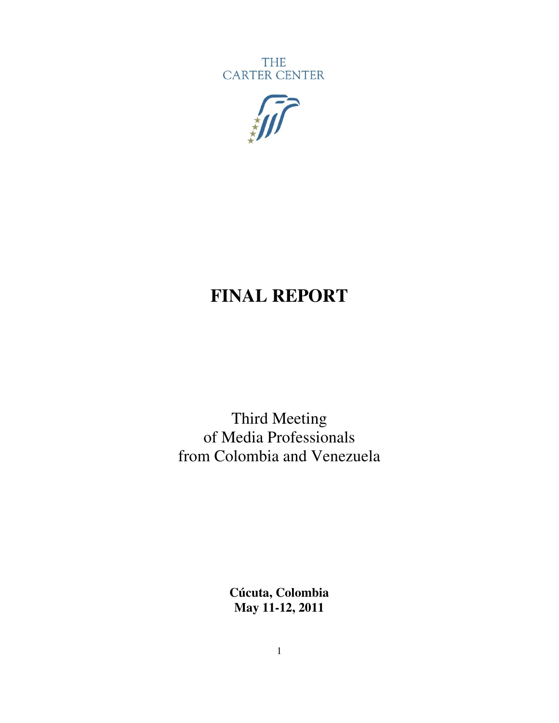**THE CARTER CENTER** 



# **FINAL REPORT**

Third Meeting of Media Professionals from Colombia and Venezuela

> **Cúcuta, Colombia May 11-12, 2011**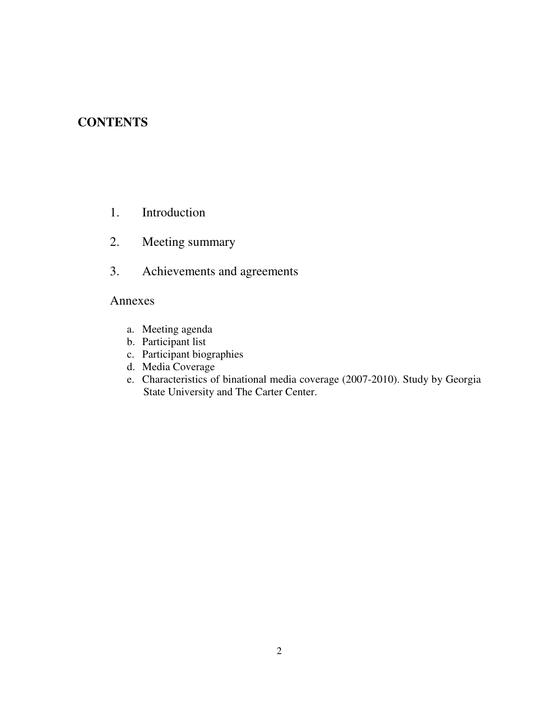### **CONTENTS**

- 1. Introduction
- 2. Meeting summary
- 3. Achievements and agreements

#### Annexes

- a. Meeting agenda
- b. Participant list
- c. Participant biographies
- d. Media Coverage
- e. Characteristics of binational media coverage (2007-2010). Study by Georgia State University and The Carter Center.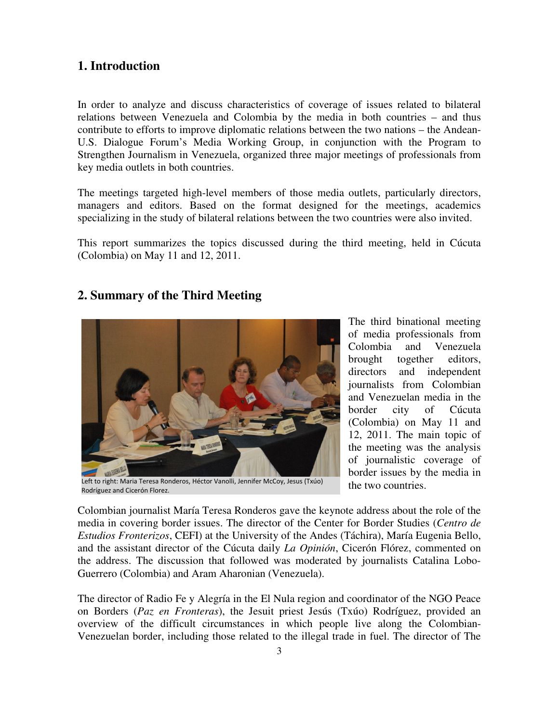### **1. Introduction**

In order to analyze and discuss characteristics of coverage of issues related to bilateral relations between Venezuela and Colombia by the media in both countries – and thus contribute to efforts to improve diplomatic relations between the two nations – the Andean-U.S. Dialogue Forum's Media Working Group, in conjunction with the Program to Strengthen Journalism in Venezuela, organized three major meetings of professionals from key media outlets in both countries.

The meetings targeted high-level members of those media outlets, particularly directors, managers and editors. Based on the format designed for the meetings, academics specializing in the study of bilateral relations between the two countries were also invited.

This report summarizes the topics discussed during the third meeting, held in Cúcuta (Colombia) on May 11 and 12, 2011.

#### **2. Summary of the Third Meeting**



Left to right: Maria Teresa Ronderos, Héctor Vanolli, Jennifer McCoy, Jesus (Txúo) Rodríguez and Cicerón Florez.

The third binational meeting of media professionals from Colombia and Venezuela brought together editors, directors and independent journalists from Colombian and Venezuelan media in the border city of Cúcuta (Colombia) on May 11 and 12, 2011. The main topic of the meeting was the analysis of journalistic coverage of border issues by the media in the two countries.

Colombian journalist María Teresa Ronderos gave the keynote address about the role of the media in covering border issues. The director of the Center for Border Studies (*Centro de Estudios Fronterizos*, CEFI) at the University of the Andes (Táchira), María Eugenia Bello, and the assistant director of the Cúcuta daily *La Opinión*, Cicerón Flórez, commented on the address. The discussion that followed was moderated by journalists Catalina Lobo-Guerrero (Colombia) and Aram Aharonian (Venezuela).

The director of Radio Fe y Alegría in the El Nula region and coordinator of the NGO Peace on Borders (*Paz en Fronteras*), the Jesuit priest Jesús (Txúo) Rodríguez, provided an overview of the difficult circumstances in which people live along the Colombian-Venezuelan border, including those related to the illegal trade in fuel. The director of The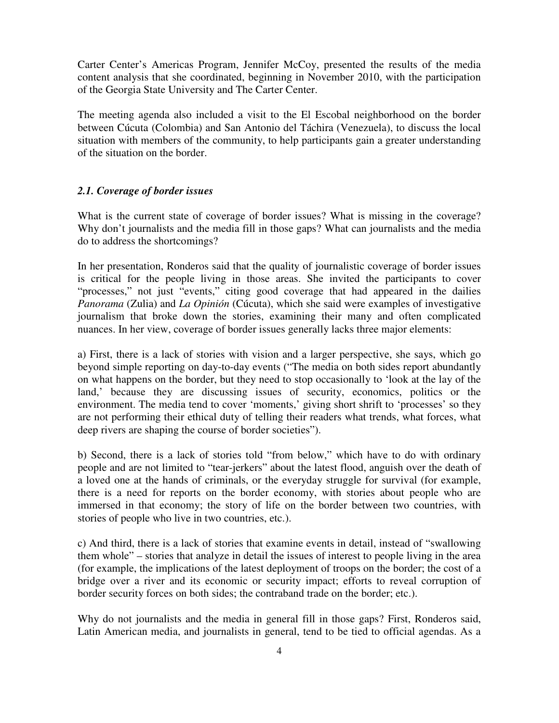Carter Center's Americas Program, Jennifer McCoy, presented the results of the media content analysis that she coordinated, beginning in November 2010, with the participation of the Georgia State University and The Carter Center.

The meeting agenda also included a visit to the El Escobal neighborhood on the border between Cúcuta (Colombia) and San Antonio del Táchira (Venezuela), to discuss the local situation with members of the community, to help participants gain a greater understanding of the situation on the border.

#### *2.1. Coverage of border issues*

What is the current state of coverage of border issues? What is missing in the coverage? Why don't journalists and the media fill in those gaps? What can journalists and the media do to address the shortcomings?

In her presentation, Ronderos said that the quality of journalistic coverage of border issues is critical for the people living in those areas. She invited the participants to cover "processes," not just "events," citing good coverage that had appeared in the dailies *Panorama* (Zulia) and *La Opinión* (Cúcuta), which she said were examples of investigative journalism that broke down the stories, examining their many and often complicated nuances. In her view, coverage of border issues generally lacks three major elements:

a) First, there is a lack of stories with vision and a larger perspective, she says, which go beyond simple reporting on day-to-day events ("The media on both sides report abundantly on what happens on the border, but they need to stop occasionally to 'look at the lay of the land,' because they are discussing issues of security, economics, politics or the environment. The media tend to cover 'moments,' giving short shrift to 'processes' so they are not performing their ethical duty of telling their readers what trends, what forces, what deep rivers are shaping the course of border societies").

b) Second, there is a lack of stories told "from below," which have to do with ordinary people and are not limited to "tear-jerkers" about the latest flood, anguish over the death of a loved one at the hands of criminals, or the everyday struggle for survival (for example, there is a need for reports on the border economy, with stories about people who are immersed in that economy; the story of life on the border between two countries, with stories of people who live in two countries, etc.).

c) And third, there is a lack of stories that examine events in detail, instead of "swallowing them whole" – stories that analyze in detail the issues of interest to people living in the area (for example, the implications of the latest deployment of troops on the border; the cost of a bridge over a river and its economic or security impact; efforts to reveal corruption of border security forces on both sides; the contraband trade on the border; etc.).

Why do not journalists and the media in general fill in those gaps? First, Ronderos said, Latin American media, and journalists in general, tend to be tied to official agendas. As a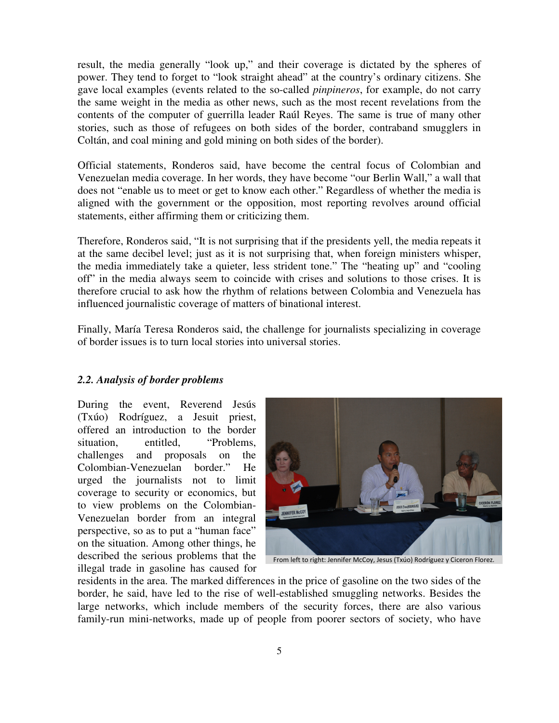result, the media generally "look up," and their coverage is dictated by the spheres of power. They tend to forget to "look straight ahead" at the country's ordinary citizens. She gave local examples (events related to the so-called *pinpineros*, for example, do not carry the same weight in the media as other news, such as the most recent revelations from the contents of the computer of guerrilla leader Raúl Reyes. The same is true of many other stories, such as those of refugees on both sides of the border, contraband smugglers in Coltán, and coal mining and gold mining on both sides of the border).

Official statements, Ronderos said, have become the central focus of Colombian and Venezuelan media coverage. In her words, they have become "our Berlin Wall," a wall that does not "enable us to meet or get to know each other." Regardless of whether the media is aligned with the government or the opposition, most reporting revolves around official statements, either affirming them or criticizing them.

Therefore, Ronderos said, "It is not surprising that if the presidents yell, the media repeats it at the same decibel level; just as it is not surprising that, when foreign ministers whisper, the media immediately take a quieter, less strident tone." The "heating up" and "cooling off" in the media always seem to coincide with crises and solutions to those crises. It is therefore crucial to ask how the rhythm of relations between Colombia and Venezuela has influenced journalistic coverage of matters of binational interest.

Finally, María Teresa Ronderos said, the challenge for journalists specializing in coverage of border issues is to turn local stories into universal stories.

#### *2.2. Analysis of border problems*

During the event, Reverend Jesús (Txúo) Rodríguez, a Jesuit priest, offered an introduction to the border situation, entitled, "Problems, challenges and proposals on the Colombian-Venezuelan border." He urged the journalists not to limit coverage to security or economics, but to view problems on the Colombian-Venezuelan border from an integral perspective, so as to put a "human face" on the situation. Among other things, he described the serious problems that the illegal trade in gasoline has caused for



From left to right: Jennifer McCoy, Jesus (Txúo) Rodríguez y Ciceron Florez.

residents in the area. The marked differences in the price of gasoline on the two sides of the border, he said, have led to the rise of well-established smuggling networks. Besides the large networks, which include members of the security forces, there are also various family-run mini-networks, made up of people from poorer sectors of society, who have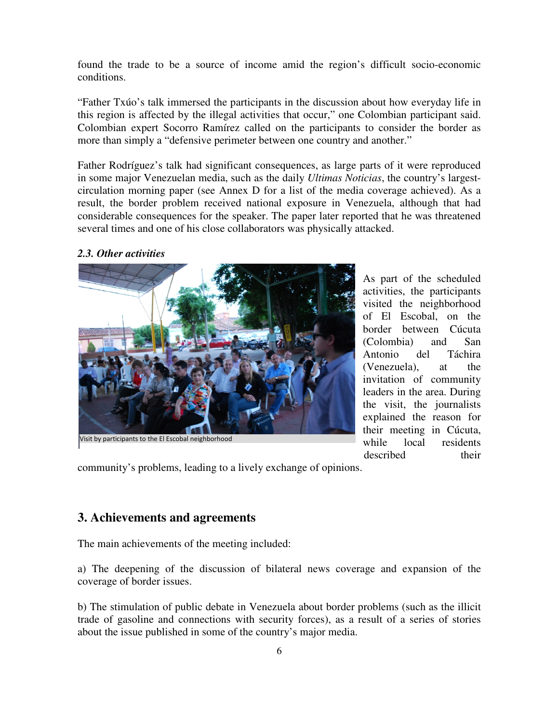found the trade to be a source of income amid the region's difficult socio-economic conditions.

"Father Txúo's talk immersed the participants in the discussion about how everyday life in this region is affected by the illegal activities that occur," one Colombian participant said. Colombian expert Socorro Ramírez called on the participants to consider the border as more than simply a "defensive perimeter between one country and another."

Father Rodríguez's talk had significant consequences, as large parts of it were reproduced in some major Venezuelan media, such as the daily *Ultimas Noticias*, the country's largestcirculation morning paper (see Annex D for a list of the media coverage achieved). As a result, the border problem received national exposure in Venezuela, although that had considerable consequences for the speaker. The paper later reported that he was threatened several times and one of his close collaborators was physically attacked.

#### *2.3. Other activities*



Visit by participants to the El Escobal neighborhood

As part of the scheduled activities, the participants visited the neighborhood of El Escobal, on the border between Cúcuta (Colombia) and San Antonio del Táchira (Venezuela), at the invitation of community leaders in the area. During the visit, the journalists explained the reason for their meeting in Cúcuta, while local residents described their

community's problems, leading to a lively exchange of opinions.

#### **3. Achievements and agreements**

The main achievements of the meeting included:

a) The deepening of the discussion of bilateral news coverage and expansion of the coverage of border issues.

b) The stimulation of public debate in Venezuela about border problems (such as the illicit trade of gasoline and connections with security forces), as a result of a series of stories about the issue published in some of the country's major media.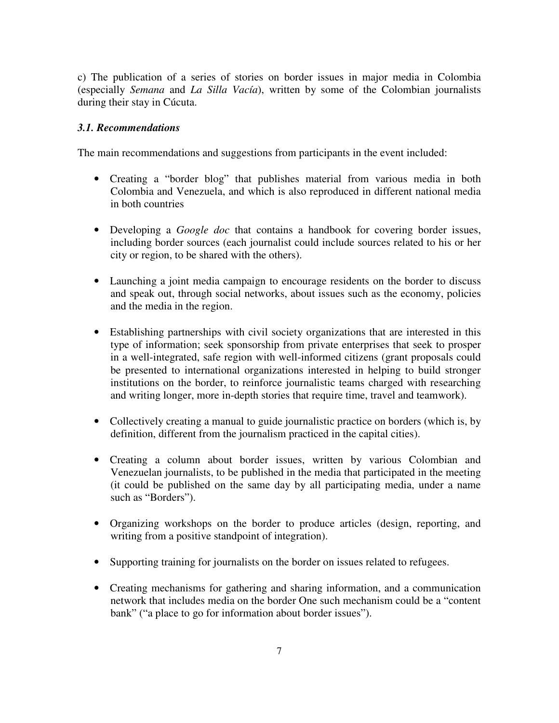c) The publication of a series of stories on border issues in major media in Colombia (especially *Semana* and *La Silla Vacía*), written by some of the Colombian journalists during their stay in Cúcuta.

#### *3.1. Recommendations*

The main recommendations and suggestions from participants in the event included:

- Creating a "border blog" that publishes material from various media in both Colombia and Venezuela, and which is also reproduced in different national media in both countries
- Developing a *Google doc* that contains a handbook for covering border issues, including border sources (each journalist could include sources related to his or her city or region, to be shared with the others).
- Launching a joint media campaign to encourage residents on the border to discuss and speak out, through social networks, about issues such as the economy, policies and the media in the region.
- Establishing partnerships with civil society organizations that are interested in this type of information; seek sponsorship from private enterprises that seek to prosper in a well-integrated, safe region with well-informed citizens (grant proposals could be presented to international organizations interested in helping to build stronger institutions on the border, to reinforce journalistic teams charged with researching and writing longer, more in-depth stories that require time, travel and teamwork).
- Collectively creating a manual to guide journalistic practice on borders (which is, by definition, different from the journalism practiced in the capital cities).
- Creating a column about border issues, written by various Colombian and Venezuelan journalists, to be published in the media that participated in the meeting (it could be published on the same day by all participating media, under a name such as "Borders").
- Organizing workshops on the border to produce articles (design, reporting, and writing from a positive standpoint of integration).
- Supporting training for journalists on the border on issues related to refugees.
- Creating mechanisms for gathering and sharing information, and a communication network that includes media on the border One such mechanism could be a "content bank" ("a place to go for information about border issues").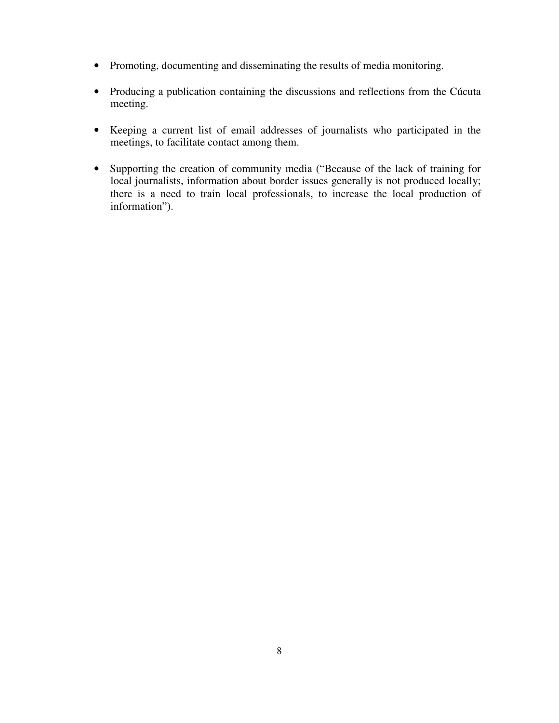- Promoting, documenting and disseminating the results of media monitoring.
- Producing a publication containing the discussions and reflections from the Cúcuta meeting.
- Keeping a current list of email addresses of journalists who participated in the meetings, to facilitate contact among them.
- Supporting the creation of community media ("Because of the lack of training for local journalists, information about border issues generally is not produced locally; there is a need to train local professionals, to increase the local production of information").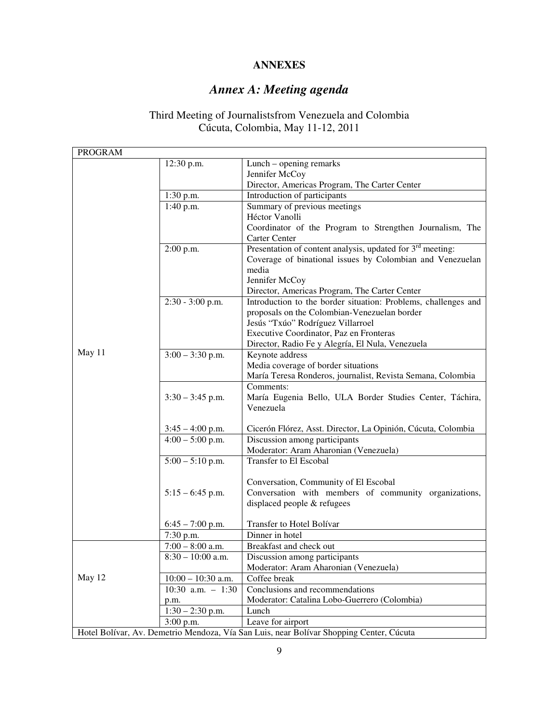### **ANNEXES**

## *Annex A: Meeting agenda*

#### Third Meeting of Journalistsfrom Venezuela and Colombia Cúcuta, Colombia, May 11-12, 2011

| <b>PROGRAM</b>                                                                          |                      |                                                                                                |  |
|-----------------------------------------------------------------------------------------|----------------------|------------------------------------------------------------------------------------------------|--|
|                                                                                         | 12:30 p.m.           | Lunch – opening remarks<br>Jennifer McCoy                                                      |  |
|                                                                                         |                      |                                                                                                |  |
|                                                                                         |                      | Director, Americas Program, The Carter Center                                                  |  |
|                                                                                         | 1:30 p.m.            | Introduction of participants                                                                   |  |
|                                                                                         | 1:40 p.m.            | Summary of previous meetings                                                                   |  |
|                                                                                         |                      | Héctor Vanolli                                                                                 |  |
|                                                                                         |                      | Coordinator of the Program to Strengthen Journalism, The                                       |  |
|                                                                                         |                      | Carter Center                                                                                  |  |
|                                                                                         | $2:00$ p.m.          | Presentation of content analysis, updated for $3rd$ meeting:                                   |  |
|                                                                                         |                      | Coverage of binational issues by Colombian and Venezuelan                                      |  |
|                                                                                         |                      | media                                                                                          |  |
|                                                                                         |                      | Jennifer McCoy                                                                                 |  |
|                                                                                         |                      | Director, Americas Program, The Carter Center                                                  |  |
|                                                                                         | 2:30 - 3:00 p.m.     | Introduction to the border situation: Problems, challenges and                                 |  |
|                                                                                         |                      | proposals on the Colombian-Venezuelan border                                                   |  |
|                                                                                         |                      | Jesús "Txúo" Rodríguez Villarroel<br>Executive Coordinator, Paz en Fronteras                   |  |
| May 11                                                                                  |                      | Director, Radio Fe y Alegría, El Nula, Venezuela                                               |  |
|                                                                                         | $3:00 - 3:30$ p.m.   | Keynote address                                                                                |  |
|                                                                                         |                      | Media coverage of border situations                                                            |  |
|                                                                                         |                      | María Teresa Ronderos, journalist, Revista Semana, Colombia                                    |  |
|                                                                                         |                      | Comments:                                                                                      |  |
|                                                                                         | $3:30 - 3:45$ p.m.   | María Eugenia Bello, ULA Border Studies Center, Táchira,                                       |  |
|                                                                                         |                      | Venezuela                                                                                      |  |
|                                                                                         |                      |                                                                                                |  |
|                                                                                         | $3:45 - 4:00$ p.m.   | Cicerón Flórez, Asst. Director, La Opinión, Cúcuta, Colombia                                   |  |
|                                                                                         | $4:00 - 5:00$ p.m.   | Discussion among participants                                                                  |  |
|                                                                                         |                      | Moderator: Aram Aharonian (Venezuela)                                                          |  |
|                                                                                         | $5:00 - 5:10$ p.m.   | Transfer to El Escobal                                                                         |  |
|                                                                                         |                      |                                                                                                |  |
|                                                                                         | $5:15 - 6:45$ p.m.   | Conversation, Community of El Escobal<br>Conversation with members of community organizations, |  |
|                                                                                         |                      | displaced people & refugees                                                                    |  |
|                                                                                         |                      |                                                                                                |  |
|                                                                                         | $6:45 - 7:00$ p.m.   | Transfer to Hotel Bolívar                                                                      |  |
|                                                                                         | 7:30 p.m.            | Dinner in hotel                                                                                |  |
|                                                                                         | $7:00 - 8:00$ a.m.   | Breakfast and check out                                                                        |  |
|                                                                                         | $8:30 - 10:00$ a.m.  | Discussion among participants                                                                  |  |
|                                                                                         |                      | Moderator: Aram Aharonian (Venezuela)                                                          |  |
| May 12                                                                                  | $10:00 - 10:30$ a.m. | Coffee break                                                                                   |  |
|                                                                                         | 10:30 a.m. $-1:30$   | Conclusions and recommendations                                                                |  |
|                                                                                         | p.m.                 | Moderator: Catalina Lobo-Guerrero (Colombia)                                                   |  |
|                                                                                         | $1:30 - 2:30$ p.m.   | Lunch                                                                                          |  |
|                                                                                         | $3:00$ p.m.          | Leave for airport                                                                              |  |
| Hotel Bolívar, Av. Demetrio Mendoza, Vía San Luis, near Bolívar Shopping Center, Cúcuta |                      |                                                                                                |  |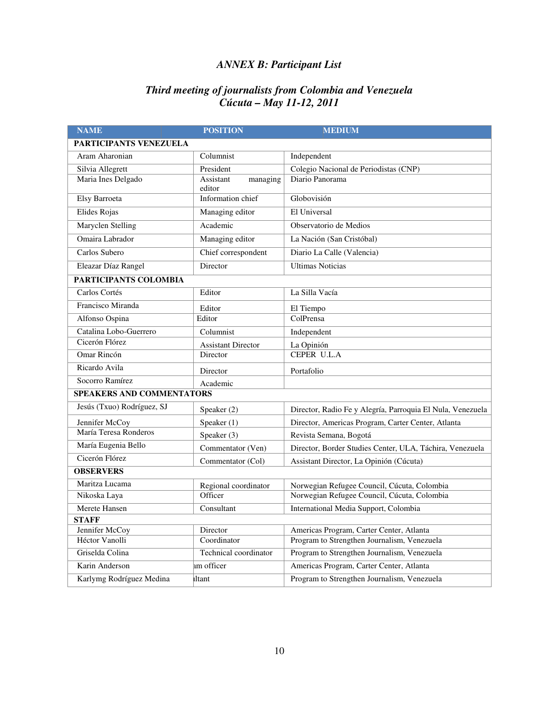### *ANNEX B: Participant List*

#### *Third meeting of journalists from Colombia and Venezuela Cúcuta – May 11-12, 2011*

| <b>NAME</b>                      | <b>POSITION</b>                  | <b>MEDIUM</b>                                              |  |  |
|----------------------------------|----------------------------------|------------------------------------------------------------|--|--|
| <b>PARTICIPANTS VENEZUELA</b>    |                                  |                                                            |  |  |
| Aram Aharonian                   | $\overline{\mathrm{C}}$ olumnist | Independent                                                |  |  |
| Silvia Allegrett                 | President                        | Colegio Nacional de Periodistas (CNP)                      |  |  |
| Maria Ines Delgado               | Assistant<br>managing            | Diario Panorama                                            |  |  |
|                                  | editor                           |                                                            |  |  |
| Elsy Barroeta                    | Information chief                | Globovisión                                                |  |  |
| Elides Rojas                     | Managing editor                  | El Universal                                               |  |  |
| Maryclen Stelling                | Academic                         | Observatorio de Medios                                     |  |  |
| Omaira Labrador                  | Managing editor                  | La Nación (San Cristóbal)                                  |  |  |
| Carlos Subero                    | Chief correspondent              | Diario La Calle (Valencia)                                 |  |  |
| Eleazar Díaz Rangel              | Director                         | <b>Ultimas Noticias</b>                                    |  |  |
| PARTICIPANTS COLOMBIA            |                                  |                                                            |  |  |
| Carlos Cortés                    | Editor                           | La Silla Vacía                                             |  |  |
| Francisco Miranda                | Editor                           | El Tiempo                                                  |  |  |
| Alfonso Ospina                   | Editor                           | ColPrensa                                                  |  |  |
| Catalina Lobo-Guerrero           | Columnist                        | Independent                                                |  |  |
| Cicerón Flórez                   | <b>Assistant Director</b>        | La Opinión                                                 |  |  |
| Omar Rincón                      | Director                         | <b>CEPER U.L.A</b>                                         |  |  |
| Ricardo Avila                    | Director                         | Portafolio                                                 |  |  |
| Socorro Ramírez                  | Academic                         |                                                            |  |  |
| <b>SPEAKERS AND COMMENTATORS</b> |                                  |                                                            |  |  |
| Jesús (Txuo) Rodríguez, SJ       | Speaker $(2)$                    | Director, Radio Fe y Alegría, Parroquia El Nula, Venezuela |  |  |
| Jennifer McCoy                   | Speaker (1)                      | Director, Americas Program, Carter Center, Atlanta         |  |  |
| María Teresa Ronderos            | Speaker (3)                      | Revista Semana, Bogotá                                     |  |  |
| María Eugenia Bello              | Commentator (Ven)                | Director, Border Studies Center, ULA, Táchira, Venezuela   |  |  |
| Cicerón Flórez                   | Commentator (Col)                | Assistant Director, La Opinión (Cúcuta)                    |  |  |
| <b>OBSERVERS</b>                 |                                  |                                                            |  |  |
| Maritza Lucama                   | Regional coordinator             | Norwegian Refugee Council, Cúcuta, Colombia                |  |  |
| Nikoska Laya                     | Officer                          | Norwegian Refugee Council, Cúcuta, Colombia                |  |  |
| Merete Hansen                    | Consultant                       | International Media Support, Colombia                      |  |  |
| <b>STAFF</b>                     |                                  |                                                            |  |  |
| Jennifer McCoy                   | Director                         | Americas Program, Carter Center, Atlanta                   |  |  |
| Héctor Vanolli                   | Coordinator                      | Program to Strengthen Journalism, Venezuela                |  |  |
| Griselda Colina                  | Technical coordinator            | Program to Strengthen Journalism, Venezuela                |  |  |
| Karin Anderson                   | am officer                       | Americas Program, Carter Center, Atlanta                   |  |  |
| Karlymg Rodríguez Medina         | ıltant                           | Program to Strengthen Journalism, Venezuela                |  |  |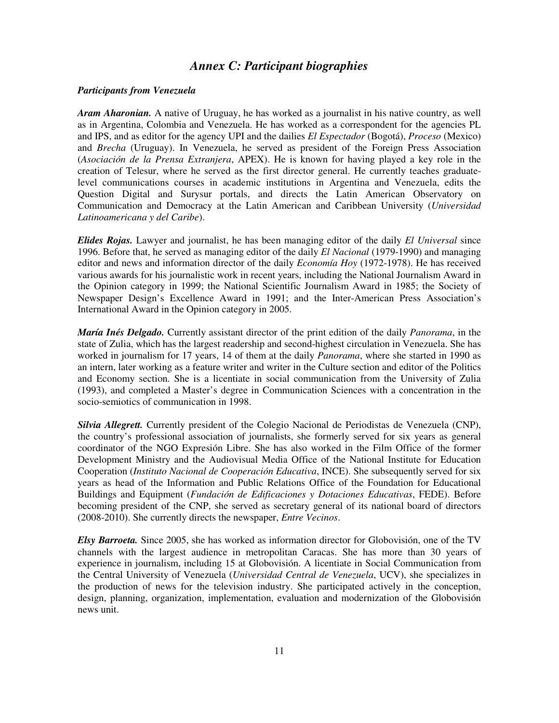### *Annex C: Participant biographies*

#### *Participants from Venezuela*

*Aram Aharonian.* A native of Uruguay, he has worked as a journalist in his native country, as well as in Argentina, Colombia and Venezuela. He has worked as a correspondent for the agencies PL and IPS, and as editor for the agency UPI and the dailies *El Espectador* (Bogotá), *Proceso* (Mexico) and *Brecha* (Uruguay). In Venezuela, he served as president of the Foreign Press Association (*Asociación de la Prensa Extranjera*, APEX). He is known for having played a key role in the creation of Telesur, where he served as the first director general. He currently teaches graduatelevel communications courses in academic institutions in Argentina and Venezuela, edits the Question Digital and Surysur portals, and directs the Latin American Observatory on Communication and Democracy at the Latin American and Caribbean University (*Universidad Latinoamericana y del Caribe*).

*Elides Rojas.* Lawyer and journalist, he has been managing editor of the daily *El Universal* since 1996. Before that, he served as managing editor of the daily *El Nacional* (1979-1990) and managing editor and news and information director of the daily *Economía Hoy* (1972-1978). He has received various awards for his journalistic work in recent years, including the National Journalism Award in the Opinion category in 1999; the National Scientific Journalism Award in 1985; the Society of Newspaper Design's Excellence Award in 1991; and the Inter-American Press Association's International Award in the Opinion category in 2005.

*María Inés Delgado.* Currently assistant director of the print edition of the daily *Panorama*, in the state of Zulia, which has the largest readership and second-highest circulation in Venezuela. She has worked in journalism for 17 years, 14 of them at the daily *Panorama*, where she started in 1990 as an intern, later working as a feature writer and writer in the Culture section and editor of the Politics and Economy section. She is a licentiate in social communication from the University of Zulia (1993), and completed a Master's degree in Communication Sciences with a concentration in the socio-semiotics of communication in 1998.

*Silvia Allegrett.* Currently president of the Colegio Nacional de Periodistas de Venezuela (CNP), the country's professional association of journalists, she formerly served for six years as general coordinator of the NGO Expresión Libre. She has also worked in the Film Office of the former Development Ministry and the Audiovisual Media Office of the National Institute for Education Cooperation (*Instituto Nacional de Cooperación Educativa*, INCE). She subsequently served for six years as head of the Information and Public Relations Office of the Foundation for Educational Buildings and Equipment (*Fundación de Edificaciones y Dotaciones Educativas*, FEDE). Before becoming president of the CNP, she served as secretary general of its national board of directors (2008-2010). She currently directs the newspaper, *Entre Vecinos*.

*Elsy Barroeta.* Since 2005, she has worked as information director for Globovisión, one of the TV channels with the largest audience in metropolitan Caracas. She has more than 30 years of experience in journalism, including 15 at Globovisión. A licentiate in Social Communication from the Central University of Venezuela (*Universidad Central de Venezuela*, UCV), she specializes in the production of news for the television industry. She participated actively in the conception, design, planning, organization, implementation, evaluation and modernization of the Globovisión news unit.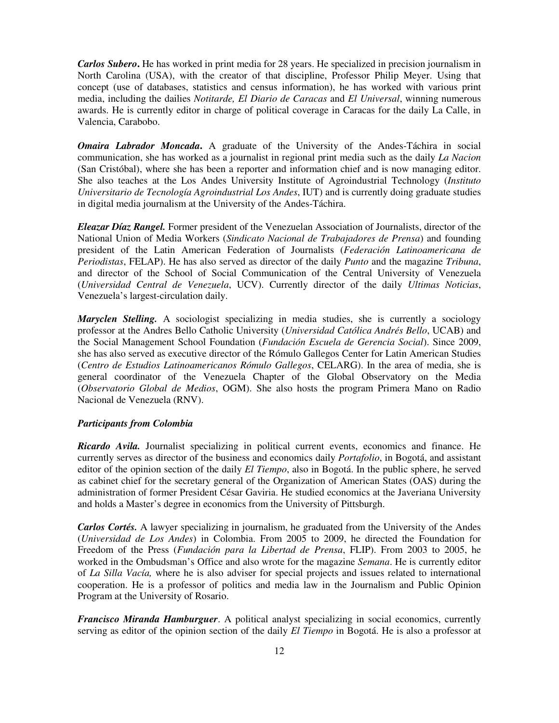*Carlos Subero***.** He has worked in print media for 28 years. He specialized in precision journalism in North Carolina (USA), with the creator of that discipline, Professor Philip Meyer. Using that concept (use of databases, statistics and census information), he has worked with various print media, including the dailies *Notitarde, El Diario de Caracas* and *El Universal*, winning numerous awards. He is currently editor in charge of political coverage in Caracas for the daily La Calle, in Valencia, Carabobo.

*Omaira Labrador Moncada***.** A graduate of the University of the Andes-Táchira in social communication, she has worked as a journalist in regional print media such as the daily *La Nacion* (San Cristóbal), where she has been a reporter and information chief and is now managing editor. She also teaches at the Los Andes University Institute of Agroindustrial Technology (*Instituto Universitario de Tecnología Agroindustrial Los Andes*, IUT) and is currently doing graduate studies in digital media journalism at the University of the Andes-Táchira.

*Eleazar Díaz Rangel.* Former president of the Venezuelan Association of Journalists, director of the National Union of Media Workers (*Sindicato Nacional de Trabajadores de Prensa*) and founding president of the Latin American Federation of Journalists (*Federación Latinoamericana de Periodistas*, FELAP). He has also served as director of the daily *Punto* and the magazine *Tribuna*, and director of the School of Social Communication of the Central University of Venezuela (*Universidad Central de Venezuela*, UCV). Currently director of the daily *Ultimas Noticias*, Venezuela's largest-circulation daily.

*Maryclen Stelling.* A sociologist specializing in media studies, she is currently a sociology professor at the Andres Bello Catholic University (*Universidad Católica Andrés Bello*, UCAB) and the Social Management School Foundation (*Fundación Escuela de Gerencia Social*). Since 2009, she has also served as executive director of the Rómulo Gallegos Center for Latin American Studies (*Centro de Estudios Latinoamericanos Rómulo Gallegos*, CELARG). In the area of media, she is general coordinator of the Venezuela Chapter of the Global Observatory on the Media (*Observatorio Global de Medios*, OGM). She also hosts the program Primera Mano on Radio Nacional de Venezuela (RNV).

#### *Participants from Colombia*

*Ricardo Avila.* Journalist specializing in political current events, economics and finance. He currently serves as director of the business and economics daily *Portafolio*, in Bogotá, and assistant editor of the opinion section of the daily *El Tiempo*, also in Bogotá. In the public sphere, he served as cabinet chief for the secretary general of the Organization of American States (OAS) during the administration of former President César Gaviria. He studied economics at the Javeriana University and holds a Master's degree in economics from the University of Pittsburgh.

*Carlos Cortés.* A lawyer specializing in journalism, he graduated from the University of the Andes (*Universidad de Los Andes*) in Colombia. From 2005 to 2009, he directed the Foundation for Freedom of the Press (*Fundación para la Libertad de Prensa*, FLIP). From 2003 to 2005, he worked in the Ombudsman's Office and also wrote for the magazine *Semana*. He is currently editor of *La Silla Vacía,* where he is also adviser for special projects and issues related to international cooperation. He is a professor of politics and media law in the Journalism and Public Opinion Program at the University of Rosario.

*Francisco Miranda Hamburguer*. A political analyst specializing in social economics, currently serving as editor of the opinion section of the daily *El Tiempo* in Bogotá. He is also a professor at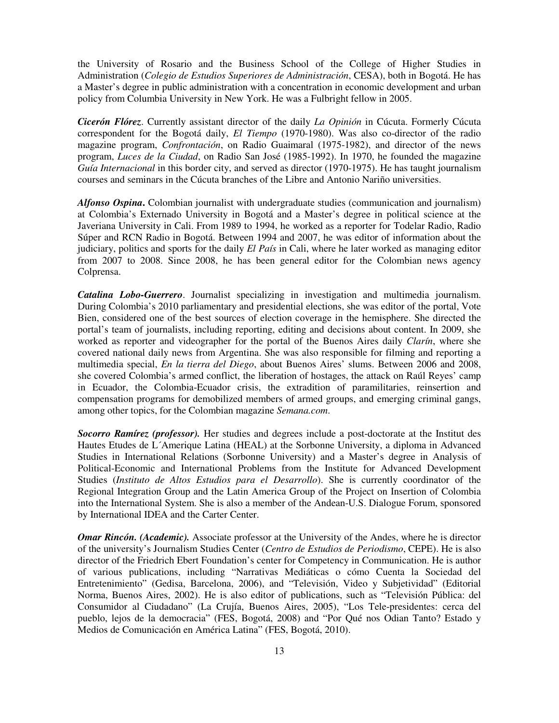the University of Rosario and the Business School of the College of Higher Studies in Administration (*Colegio de Estudios Superiores de Administración*, CESA), both in Bogotá. He has a Master's degree in public administration with a concentration in economic development and urban policy from Columbia University in New York. He was a Fulbright fellow in 2005.

*Cicerón Flórez*. Currently assistant director of the daily *La Opinión* in Cúcuta. Formerly Cúcuta correspondent for the Bogotá daily, *El Tiempo* (1970-1980). Was also co-director of the radio magazine program, *Confrontación*, on Radio Guaimaral (1975-1982), and director of the news program, *Luces de la Ciudad*, on Radio San José (1985-1992). In 1970, he founded the magazine *Guía Internacional* in this border city, and served as director (1970-1975). He has taught journalism courses and seminars in the Cúcuta branches of the Libre and Antonio Nariño universities.

*Alfonso Ospina***.** Colombian journalist with undergraduate studies (communication and journalism) at Colombia's Externado University in Bogotá and a Master's degree in political science at the Javeriana University in Cali. From 1989 to 1994, he worked as a reporter for Todelar Radio, Radio Súper and RCN Radio in Bogotá. Between 1994 and 2007, he was editor of information about the judiciary, politics and sports for the daily *El País* in Cali, where he later worked as managing editor from 2007 to 2008. Since 2008, he has been general editor for the Colombian news agency Colprensa.

*Catalina Lobo-Guerrero*. Journalist specializing in investigation and multimedia journalism. During Colombia's 2010 parliamentary and presidential elections, she was editor of the portal, Vote Bien, considered one of the best sources of election coverage in the hemisphere. She directed the portal's team of journalists, including reporting, editing and decisions about content. In 2009, she worked as reporter and videographer for the portal of the Buenos Aires daily *Clarín*, where she covered national daily news from Argentina. She was also responsible for filming and reporting a multimedia special, *En la tierra del Diego*, about Buenos Aires' slums. Between 2006 and 2008, she covered Colombia's armed conflict, the liberation of hostages, the attack on Raúl Reyes' camp in Ecuador, the Colombia-Ecuador crisis, the extradition of paramilitaries, reinsertion and compensation programs for demobilized members of armed groups, and emerging criminal gangs, among other topics, for the Colombian magazine *Semana.com*.

*Socorro Ramírez (professor).* Her studies and degrees include a post-doctorate at the Institut des Hautes Etudes de L´Amerique Latina (HEAL) at the Sorbonne University, a diploma in Advanced Studies in International Relations (Sorbonne University) and a Master's degree in Analysis of Political-Economic and International Problems from the Institute for Advanced Development Studies (*Instituto de Altos Estudios para el Desarrollo*). She is currently coordinator of the Regional Integration Group and the Latin America Group of the Project on Insertion of Colombia into the International System. She is also a member of the Andean-U.S. Dialogue Forum, sponsored by International IDEA and the Carter Center.

*Omar Rincón. (Academic).* Associate professor at the University of the Andes, where he is director of the university's Journalism Studies Center (*Centro de Estudios de Periodismo*, CEPE). He is also director of the Friedrich Ebert Foundation's center for Competency in Communication. He is author of various publications, including "Narrativas Mediáticas o cómo Cuenta la Sociedad del Entretenimiento" (Gedisa, Barcelona, 2006), and "Televisión, Video y Subjetividad" (Editorial Norma, Buenos Aires, 2002). He is also editor of publications, such as "Televisión Pública: del Consumidor al Ciudadano" (La Crujía, Buenos Aires, 2005), "Los Tele-presidentes: cerca del pueblo, lejos de la democracia" (FES, Bogotá, 2008) and "Por Qué nos Odian Tanto? Estado y Medios de Comunicación en América Latina" (FES, Bogotá, 2010).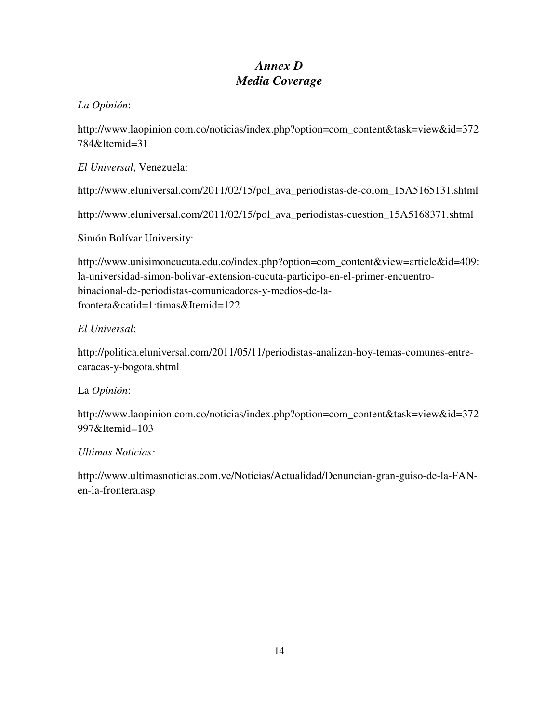### *Annex D Media Coverage*

### *La Opinión*:

http://www.laopinion.com.co/noticias/index.php?option=com\_content&task=view&id=372 784&Itemid=31

*El Universal*, Venezuela:

http://www.eluniversal.com/2011/02/15/pol\_ava\_periodistas-de-colom\_15A5165131.shtml

http://www.eluniversal.com/2011/02/15/pol\_ava\_periodistas-cuestion\_15A5168371.shtml

Simón Bolívar University:

http://www.unisimoncucuta.edu.co/index.php?option=com\_content&view=article&id=409: la-universidad-simon-bolivar-extension-cucuta-participo-en-el-primer-encuentrobinacional-de-periodistas-comunicadores-y-medios-de-lafrontera&catid=1:timas&Itemid=122

### *El Universal*:

http://politica.eluniversal.com/2011/05/11/periodistas-analizan-hoy-temas-comunes-entrecaracas-y-bogota.shtml

#### La *Opinión*:

http://www.laopinion.com.co/noticias/index.php?option=com\_content&task=view&id=372 997&Itemid=103

#### *Ultimas Noticias:*

http://www.ultimasnoticias.com.ve/Noticias/Actualidad/Denuncian-gran-guiso-de-la-FANen-la-frontera.asp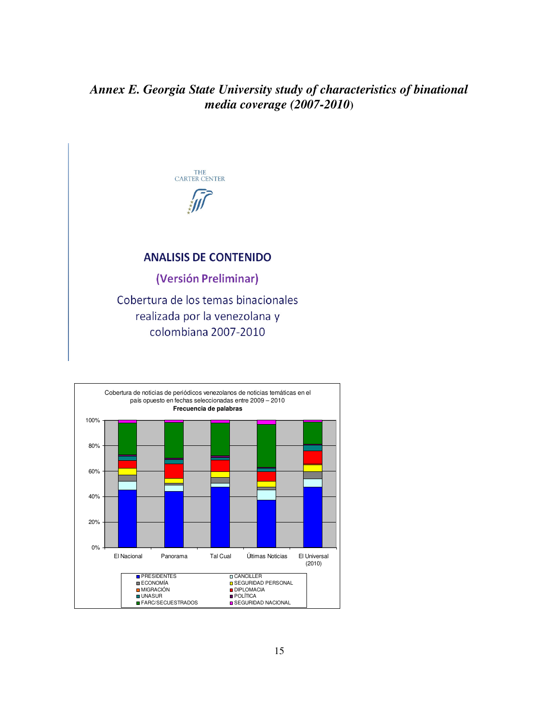### *Annex E. Georgia State University study of characteristics of binational media coverage (2007-2010***)**



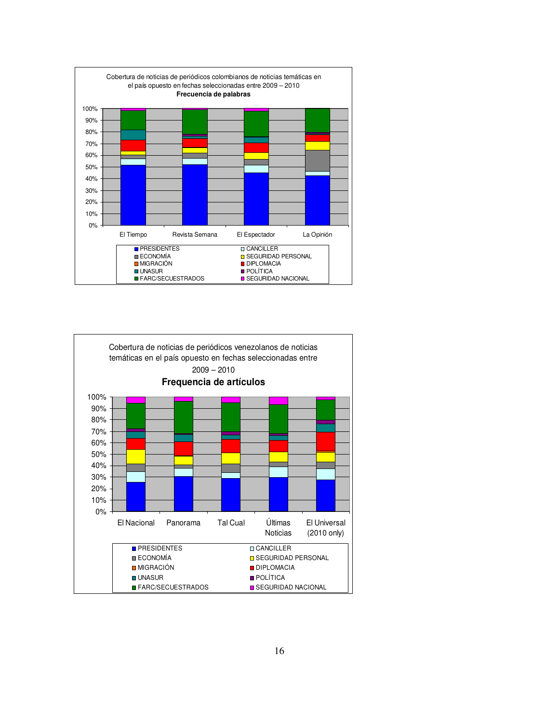

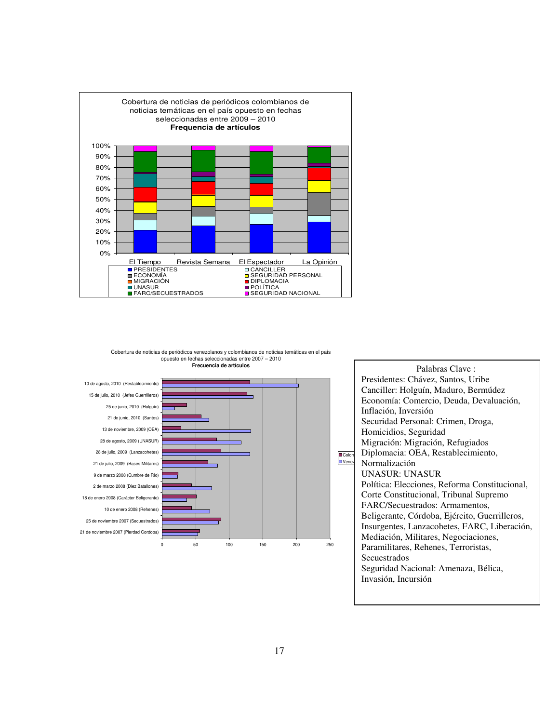





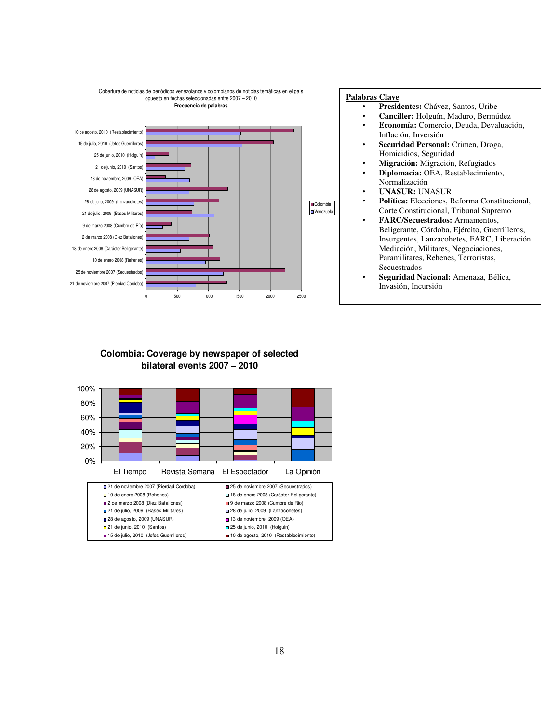

#### **Palabras Clave**

- **Presidentes:** Chávez, Santos, Uribe
- **Canciller:** Holguín, Maduro, Bermúdez
- **Economía:** Comercio, Deuda, Devaluación, Inflación, Inversión
- **Securidad Personal:** Crimen, Droga, Homicidios, Seguridad
- **Migración:** Migración, Refugiados • **Diplomacia:** OEA, Restablecimiento,
- Normalización
- **UNASUR:** UNASUR
- **Política:** Elecciones, Reforma Constitucional, Corte Constitucional, Tribunal Supremo
- **FARC/Secuestrados:** Armamentos, Beligerante, Córdoba, Ejército, Guerrilleros, Insurgentes, Lanzacohetes, FARC, Liberación, Mediación, Militares, Negociaciones, Paramilitares, Rehenes, Terroristas, Secuestrados
- **Seguridad Nacional:** Amenaza, Bélica, Invasión, Incursión